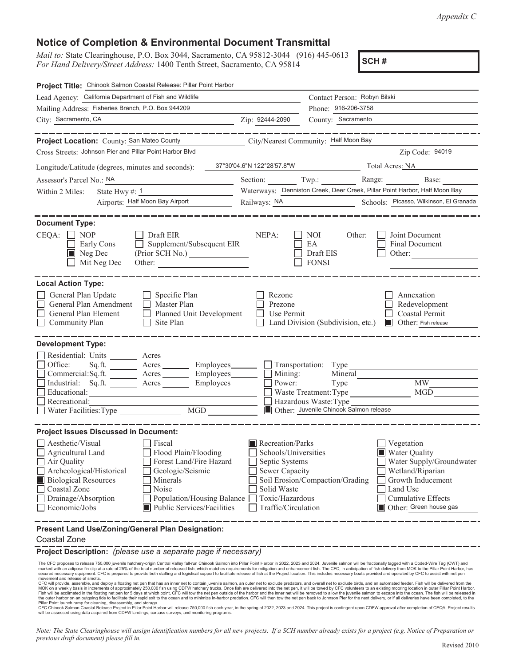*Appendix C* 

## **Notice of Completion & Environmental Document Transmittal**

*Mail to: State Clearinghouse, P.O. Box 3044, Sacramento, CA 95812-3044* (916) 445-0613 **SCH #** *For Hand Delivery/Street Address: 1400 Tenth Street, Sacramento, CA 95814* **SCH #** 

| Project Title: Chinook Salmon Coastal Release: Pillar Point Harbor                                                                                                                                                                                                                                                                        |                                                                                                                                       |                                                                                                                                                                                                               |  |
|-------------------------------------------------------------------------------------------------------------------------------------------------------------------------------------------------------------------------------------------------------------------------------------------------------------------------------------------|---------------------------------------------------------------------------------------------------------------------------------------|---------------------------------------------------------------------------------------------------------------------------------------------------------------------------------------------------------------|--|
| Lead Agency: California Department of Fish and Wildlife                                                                                                                                                                                                                                                                                   | Contact Person: Robyn Bilski                                                                                                          |                                                                                                                                                                                                               |  |
| Mailing Address: Fisheries Branch, P.O. Box 944209                                                                                                                                                                                                                                                                                        |                                                                                                                                       | Phone: 916-206-3758                                                                                                                                                                                           |  |
| City: Sacramento, CA                                                                                                                                                                                                                                                                                                                      | Zip: 92444-2090                                                                                                                       | County: Sacramento                                                                                                                                                                                            |  |
|                                                                                                                                                                                                                                                                                                                                           |                                                                                                                                       | ________                                                                                                                                                                                                      |  |
| Project Location: County: San Mateo County                                                                                                                                                                                                                                                                                                |                                                                                                                                       | City/Nearest Community: Half Moon Bay                                                                                                                                                                         |  |
| Cross Streets: Johnson Pier and Pillar Point Harbor Blvd                                                                                                                                                                                                                                                                                  |                                                                                                                                       | Zip Code: 94019                                                                                                                                                                                               |  |
| Longitude/Latitude (degrees, minutes and seconds):                                                                                                                                                                                                                                                                                        | 37°30'04.6"N 122°28'57.8"W                                                                                                            | Total Acres: NA                                                                                                                                                                                               |  |
| Assessor's Parcel No.: NA                                                                                                                                                                                                                                                                                                                 |                                                                                                                                       | Section: Twp.: Range: Base:                                                                                                                                                                                   |  |
| State Hwy #: 1<br>Within 2 Miles:                                                                                                                                                                                                                                                                                                         |                                                                                                                                       | Waterways: Denniston Creek, Deer Creek, Pillar Point Harbor, Half Moon Bay                                                                                                                                    |  |
| Airports: Half Moon Bay Airport                                                                                                                                                                                                                                                                                                           | Railways: <u>NA</u>                                                                                                                   | Schools: Picasso, Wilkinson, El Granada                                                                                                                                                                       |  |
| <b>Document Type:</b><br>CEQA:<br>$\Box$ NOP<br>Draft EIR<br>Supplement/Subsequent EIR<br>Early Cons<br>$\blacksquare$ Neg Dec<br>Mit Neg Dec                                                                                                                                                                                             | NEPA:                                                                                                                                 | Joint Document<br>NOI.<br>Other:<br>EA<br><b>Final Document</b><br>Draft EIS<br>Other:<br><b>FONSI</b>                                                                                                        |  |
| <b>Local Action Type:</b><br>General Plan Update<br>Specific Plan<br>General Plan Amendment<br>Master Plan<br>General Plan Element<br>Planned Unit Development<br>Site Plan<br>Community Plan                                                                                                                                             | Rezone<br>Prezone<br>Use Permit                                                                                                       | Annexation<br>Redevelopment<br>Coastal Permit<br>Land Division (Subdivision, etc.)<br><b>I</b> Other: Fish release                                                                                            |  |
| <b>Development Type:</b><br>Residential: Units _______<br>Acres<br>Office:<br>Sq.ft.<br>Acres Employees                                                                                                                                                                                                                                   |                                                                                                                                       | $\Box$ Transportation: Type                                                                                                                                                                                   |  |
| Commercial:Sq.ft.<br>Employees_<br>Acres<br>Industrial: Sq.ft. ________ Acres _______<br>Employees________<br>Educational:                                                                                                                                                                                                                | Mining:<br>Power:                                                                                                                     | Mineral<br>MW<br><b>MGD</b><br>Waste Treatment: Type                                                                                                                                                          |  |
| Recreational:<br>$\overline{MGD}$<br>Water Facilities: Type                                                                                                                                                                                                                                                                               |                                                                                                                                       | Hazardous Waste:Type<br>Other: Juvenile Chinook Salmon release                                                                                                                                                |  |
|                                                                                                                                                                                                                                                                                                                                           |                                                                                                                                       |                                                                                                                                                                                                               |  |
| <b>Project Issues Discussed in Document:</b>                                                                                                                                                                                                                                                                                              |                                                                                                                                       |                                                                                                                                                                                                               |  |
| Aesthetic/Visual<br>Fiscal<br>Flood Plain/Flooding<br>Agricultural Land<br>Air Quality<br>Forest Land/Fire Hazard<br>Archeological/Historical<br>Geologic/Seismic<br><b>Biological Resources</b><br>Minerals<br>Coastal Zone<br>Noise<br>Drainage/Absorption<br>Population/Housing Balance<br>Public Services/Facilities<br>Economic/Jobs | Recreation/Parks<br>Schools/Universities<br>Septic Systems<br>Sewer Capacity<br>Solid Waste<br>Toxic/Hazardous<br>Traffic/Circulation | Vegetation<br><b>Water Quality</b><br>Water Supply/Groundwater<br>Wetland/Riparian<br>Soil Erosion/Compaction/Grading<br>Growth Inducement<br>Land Use<br><b>Cumulative Effects</b><br>Other: Green house gas |  |
| Present Land Use/Zoning/General Plan Designation:<br><b>Coastal Zone</b>                                                                                                                                                                                                                                                                  |                                                                                                                                       |                                                                                                                                                                                                               |  |

**Project Description:** *(please use a separate page if necessary)* 

The CFC proposes to release 750,000 juvenile hatchery-origin Central Valley fall-run Chinook Salmon into Pillar Point Harbor in 2022, 2023 and 2024. Juvenile salmon will be fractionally tagged with a Coded-Wire Tag (CWT) a

movement and release of smolts.<br>CFC will provide, assemble, and deploy a floating net pen that has an inner net to contain juvenile salmon, an outer net to exclude predators, and overall net to exclude birds, and an automa

the outer harbor on an outgoing tide to facilitate their rapid exit to the ocean and to minimize in-harbor predation. CFC will then tow the net pen back to Johnson Pier for the next delivery, or if all deliveries have been

 *Note: The State Clearinghouse will assign identification numbers for all new projects. If a SCH number already exists for a project (e.g. Notice of Preparation or previous draft document) please fill in.*